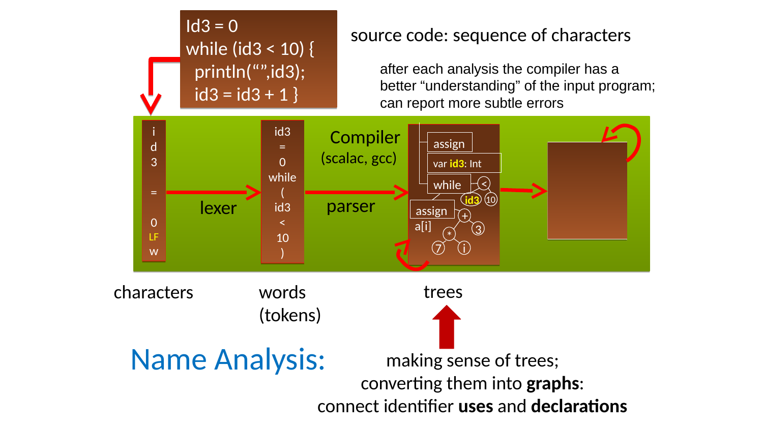

### characters words





# (tokens)

trees



Name Analysis: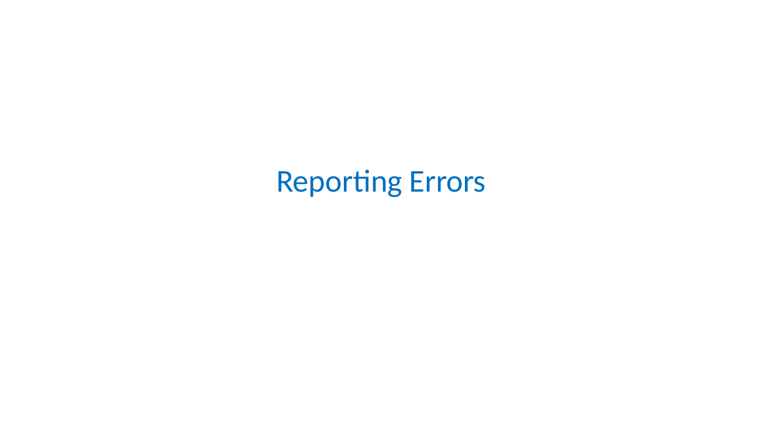### **Reporting Errors**

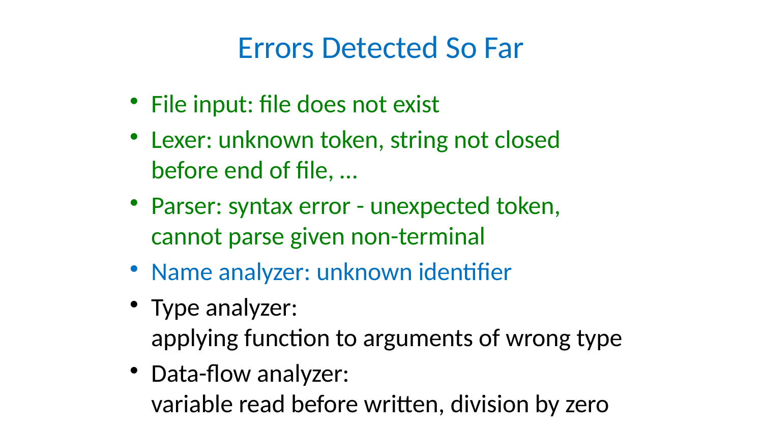Errors Detected So Far

• File input: file does not exist • Lexer: unknown token, string not closed before end of file, … • Parser: syntax error - unexpected token, cannot parse given non-terminal • Name analyzer: unknown identifier • Type analyzer:

- 
- 
- 
- 

# • Data-flow analyzer:

- 
- 
- applying function to arguments of wrong type
- variable read before written, division by zero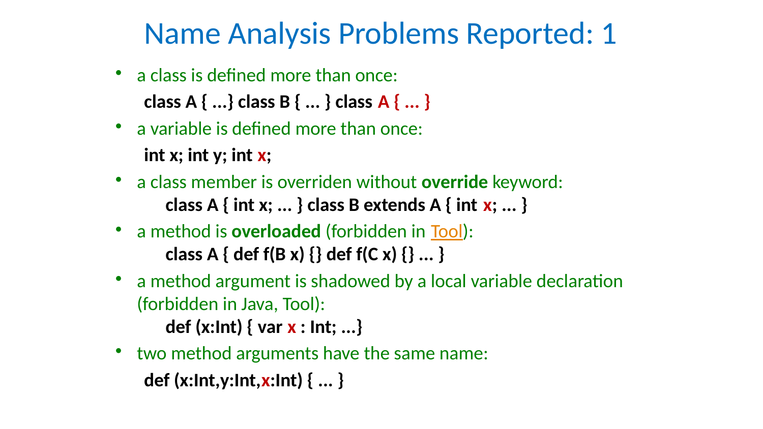# Name Analysis Problems Reported: 1

- 
- a class is defined more than once: class A { ...} class B { ... } class A { ... } • a variable is defined more than once:
	- int x; int y; int x;
- a class member is overriden without override keyword: class A { int x; ... } class B extends A { int x; ... } • a method is overloaded (forbidden in Tool): class A { def  $f(B x)$  {} def  $f(C x)$  {} ... } • a method argument is shadowed by a local variable declaration
	-
	-
	- (forbidden in Java, Tool):
		- def (x:Int) { var x : Int; ...}
- two method arguments have the same name: def (x:Int,y:Int,x:Int) { ... }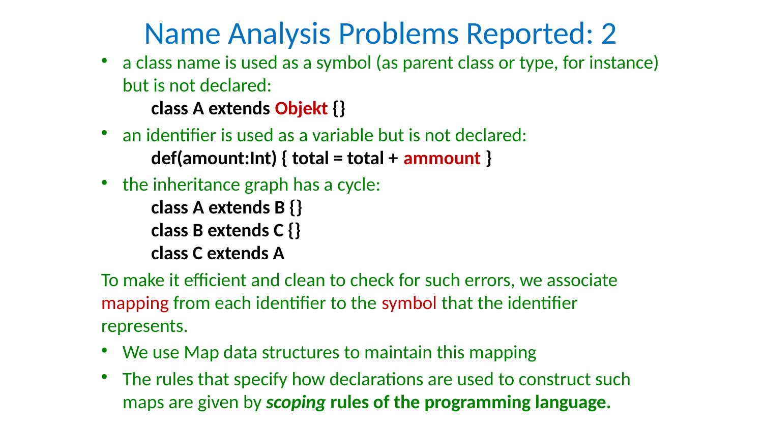Name Analysis Problems Reported: 2 a class name is used as a symbol (as parent class or type, for instance) but is not declared:

class A extends Objekt {}

- 
- an identifier is used as a variable but is not declared:  $def(amount:Int) { total = total + ammount }$
- the inheritance graph has a cycle:
	-
	- class B extends C {}
	- class C extends A
- represents.
- 
- 

class A extends B {}

• We use Map data structures to maintain this mapping • The rules that specify how declarations are used to construct such maps are given by scoping rules of the programming language.

To make it efficient and clean to check for such errors, we associate mapping from each identifier to the symbol that the identifier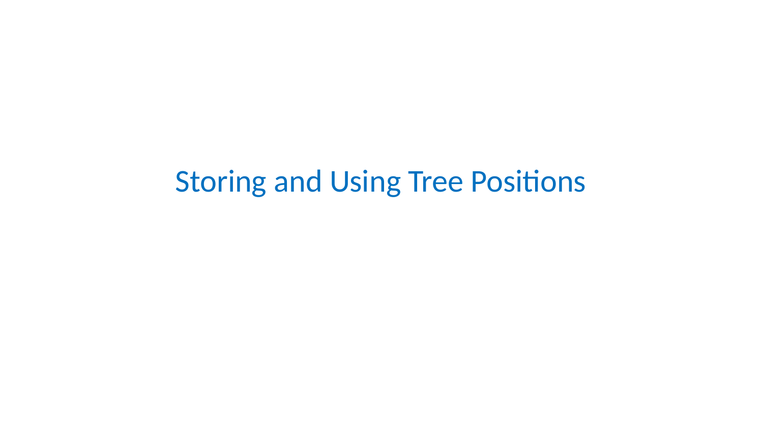### **Storing and Using Tree Positions**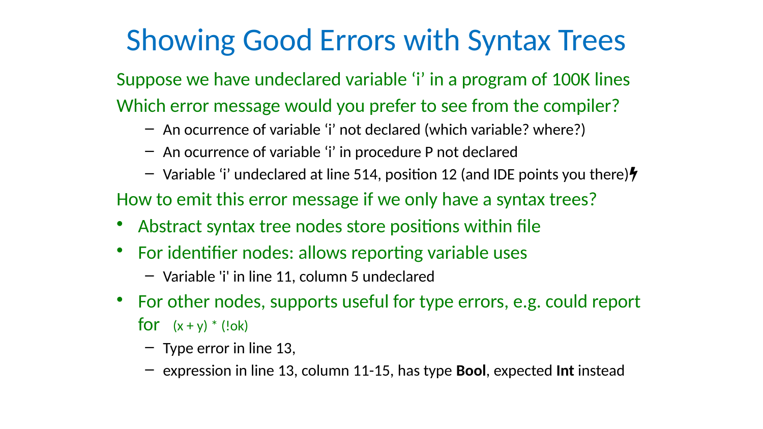## Showing Good Errors with Syntax Trees

- Suppose we have undeclared variable 'i' in a program of 100K lines
- Which error message would you prefer to see from the compiler?
	-
	- An ocurrence of variable 'i' not declared (which variable? where?) – An ocurrence of variable 'i' in procedure P not declared
	- $-$  Variable 'i' undeclared at line 514, position 12 (and IDE points you there) $\frac{1}{2}$
- How to emit this error message if we only have a syntax trees?
- Abstract syntax tree nodes store positions within file
- For identifier nodes: allows reporting variable uses
	- Variable 'i' in line 11, column 5 undeclared
- For other nodes, supports useful for type errors, e.g. could report for  $(x + y) * (! \infty k)$ 
	-
	- Type error in line 13,
	- expression in line 13, column 11-15, has type Bool, expected Int instead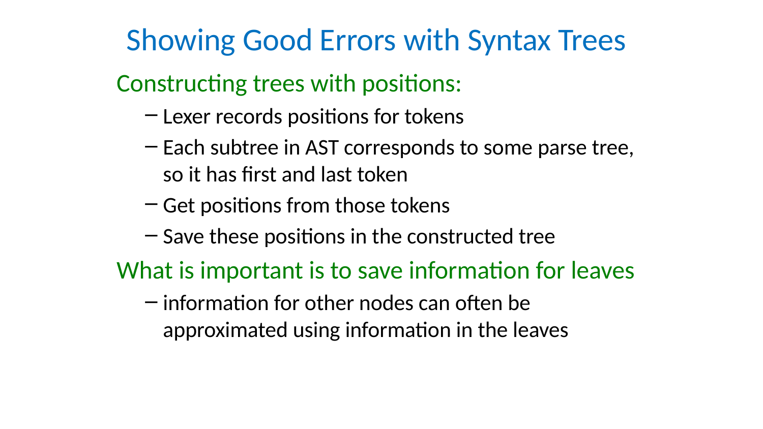- so it has first and last token
- 
- 
- 
- Showing Good Errors with Syntax Trees Constructing trees with positions: – Lexer records positions for tokens – Each subtree in AST corresponds to some parse tree, – Get positions from those tokens – Save these positions in the constructed tree What is important is to save information for leaves
	- information for other nodes can often be approximated using information in the leaves
		-

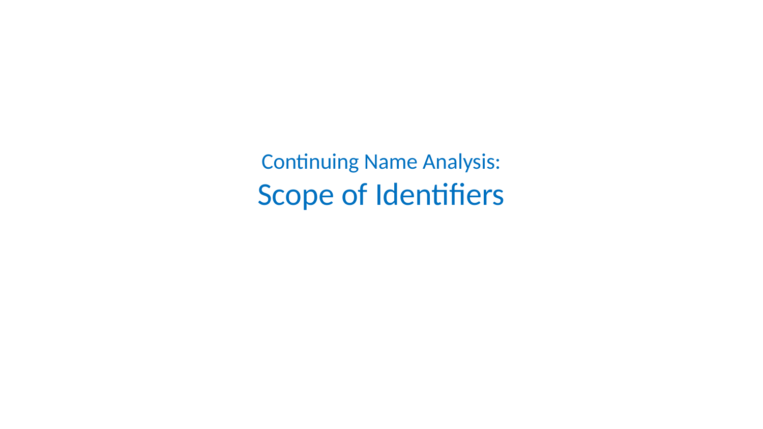### **Continuing Name Analysis:** Scope of Identifiers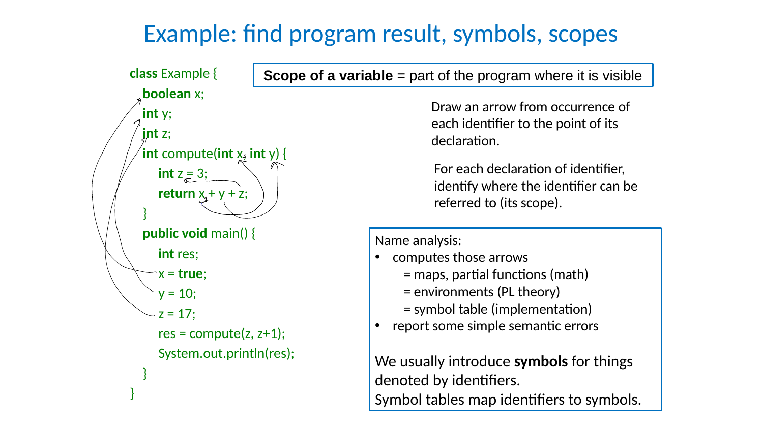

### Scope of a variable  $=$  part of the program where it is visible



- = maps, partial functions (math)
- = environments (PL theory)
- = symbol table (implementation)
- report some simple semantic errors

We usually introduce symbols for things denoted by identifiers. Symbol tables map identifiers to symbols.

Draw an arrow from occurrence of each identifier to the point of its declaration.

Name analysis:

• computes those arrows

For each declaration of identifier, identify where the identifier can be referred to (its scope).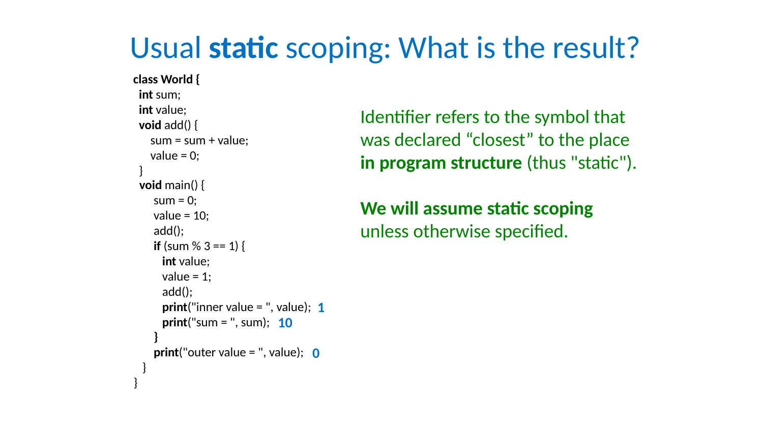### Usual static scoping: What is the result?

class World { int sum; int value; void add() {  $sum = sum + value;$  value = 0; } void main() {  $sum = 0;$ value  $= 10$ ; add(); if (sum  $\% 3 == 1$ ) { int value; value  $= 1;$  add(); print("inner value = ", value); 1 print("sum = ", sum); 10 } print("outer value = ", value); 0 } }

We will assume static scoping unless otherwise specified.

Identifier refers to the symbol that was declared "closest" to the place in program structure (thus "static").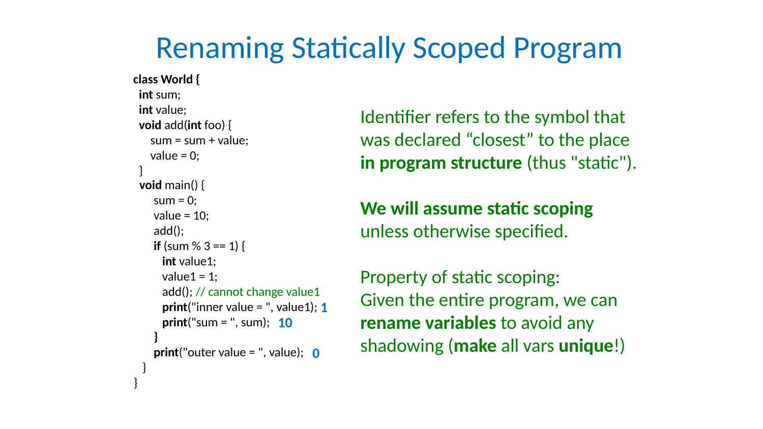### Renaming Statically Scoped Program

- $sum = sum + value;$ if (sum  $\% 3 == 1$ ) { int value1; value $1 = 1$ ; add(); // cannot change value1 print("inner value = ", value1); 1 print("sum = ", sum); 10
- print("outer value = ", value); 0
- 
- 
- 

class World { int sum; int value; void add(int foo) { value  $= 0$ ; } void main() {  $sum = 0;$ value  $= 10$ ; add(); } } }

We will assume static scoping unless otherwise specified.

Property of static scoping: Given the entire program, we can rename variables to avoid any shadowing (make all vars unique!)

Identifier refers to the symbol that was declared "closest" to the place in program structure (thus "static").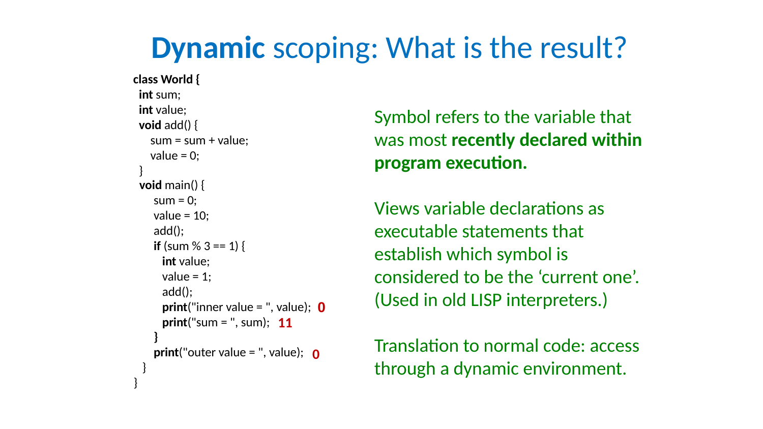### Dynamic scoping: What is the result?

- 
- $sum = sum + value;$ 
	-
	-
	-
	-
- if (sum  $\%$  3 == 1) {
	-
	-
- print("inner value = ", value); 0 print("sum = ", sum); 11
- print("outer value = ", value); o



class World { int sum; int value; void add() { value = 0; } void main() {  $sum = 0;$ value  $= 10$ ; add(); int value; value  $= 1$ ; add(); } } }

Symbol refers to the variable that was most recently declared within program execution.

Views variable declarations as executable statements that establish which symbol is considered to be the 'current one'. (Used in old LISP interpreters.)

Translation to normal code: access through a dynamic environment.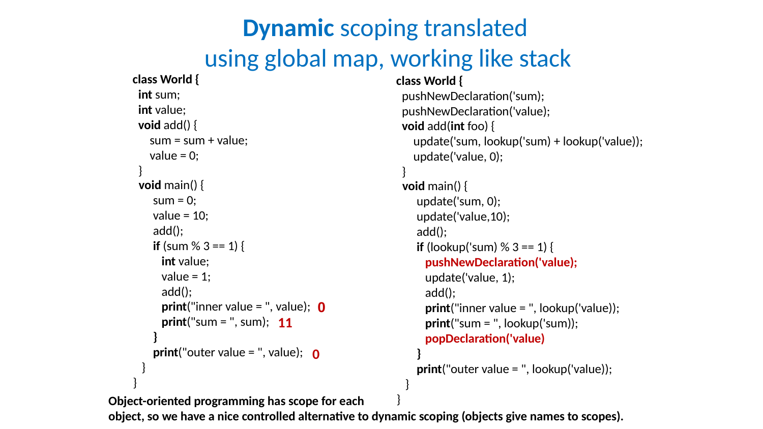```
class World {
  int sum; 
  int value;
  void add() {
   sum = sum + value;value = 0;
 }
  void main() {
    sum = 0;value = 10;
     add();
      int value;
      value = 1;
       add();
 }
print("outer value = ", value); o
 }
}
```
if (sum  $\% 3 == 1$ ) { print("inner value = ", value); 0 print("sum = ", sum); 11

```
Dynamic scoping translated 
using global map, working like stack
                                  class World {
                                    pushNewDeclaration('sum); 
                                    pushNewDeclaration('value);
                                    void add(int foo) {
                                      update('sum, lookup('sum) + lookup('value)); 
                                      update('value, 0);
                                   }
                                    void main() {
                                      update('sum, 0);
                                       update('value,10);
                                       add();
                                     if (lookup('sum) % 3 == 1) {
                                        pushNewDeclaration('value);
                                        update('value, 1);
                                        add();
                                        print("inner value = ", lookup('value));
                                        print("sum = ", lookup('sum));
                                        popDeclaration('value)
                                   }
                                      print("outer value = ", lookup('value)); }
```
### Object-oriented programming has scope for each } object, so we have a nice controlled alternative to dynamic scoping (objects give names to scopes).